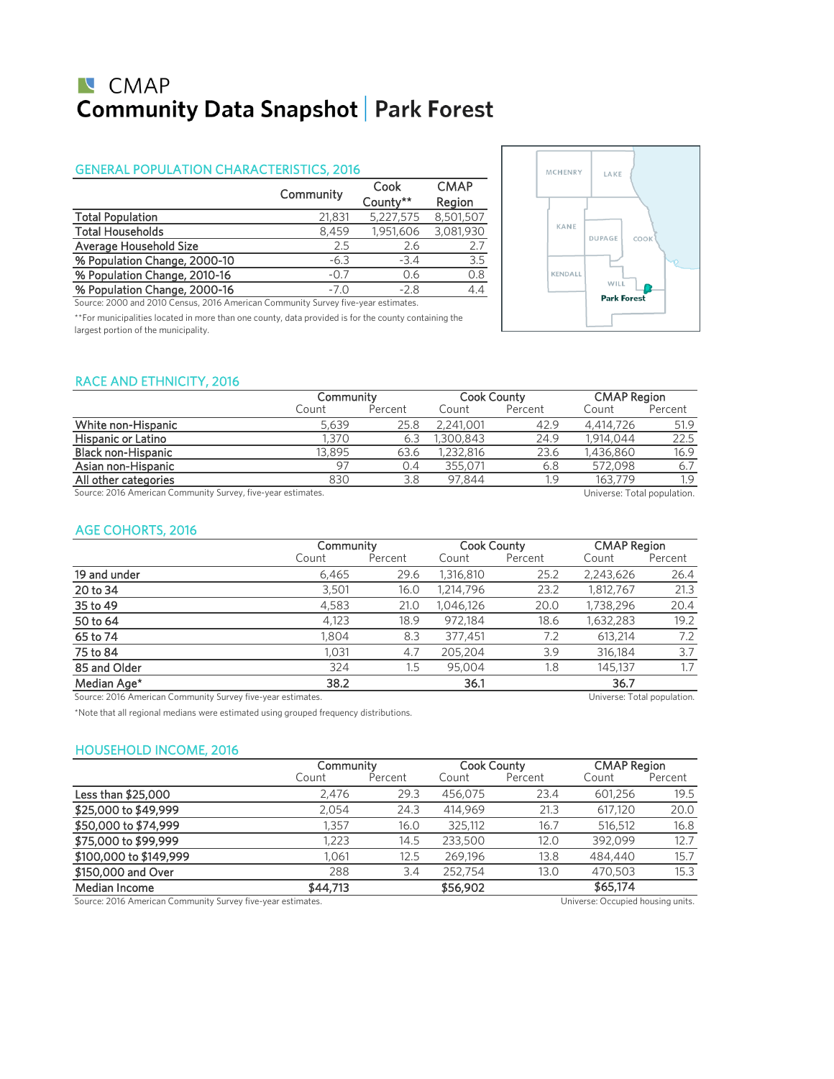# **N** CMAP **Community Data Snapshot | Park Forest**

### GENERAL POPULATION CHARACTERISTICS, 2016

|                              | Community | Cook<br>County** | <b>CMAP</b><br>Region |
|------------------------------|-----------|------------------|-----------------------|
| <b>Total Population</b>      | 21,831    | 5,227,575        | 8,501,507             |
| <b>Total Households</b>      | 8.459     | 1,951,606        | 3,081,930             |
| Average Household Size       | 2.5       | 2.6              | 2.7                   |
| % Population Change, 2000-10 | $-6.3$    | $-34$            | 3.5                   |
| % Population Change, 2010-16 | $-0.7$    | 0.6              | 0.8                   |
| % Population Change, 2000-16 | $-7.0$    | $-2.8$           | 4.4                   |

Source: 2000 and 2010 Census, 2016 American Community Survey five-year estimates.

\*\*For municipalities located in more than one county, data provided is for the county containing the largest portion of the municipality.



### RACE AND ETHNICITY, 2016

|                                                              |        | Community |           | <b>Cook County</b> |                             | <b>CMAP Region</b> |
|--------------------------------------------------------------|--------|-----------|-----------|--------------------|-----------------------------|--------------------|
|                                                              | Count  | Percent   | Count     | Percent            | Count                       | Percent            |
| White non-Hispanic                                           | 5.639  | 25.8      | 2,241,001 | 42.9               | 4,414,726                   | 51.9               |
| <b>Hispanic or Latino</b>                                    | 1.370  | 6.3       | 1,300,843 | 24.9               | 1,914,044                   | 22.5               |
| <b>Black non-Hispanic</b>                                    | 13,895 | 63.6      | 1,232,816 | 23.6               | 1.436.860                   | 16.9               |
| Asian non-Hispanic                                           | 97     | 0.4       | 355.071   | 6.8                | 572.098                     | 6.7                |
| All other categories                                         | 830    | 3.8       | 97.844    | 1.9                | 163,779                     | 1.9                |
| Source: 2016 American Community Survey, five-year estimates. |        |           |           |                    | Universe: Total population. |                    |

### AGE COHORTS, 2016

|              | Community |         | <b>Cook County</b> |         | <b>CMAP Region</b> |         |
|--------------|-----------|---------|--------------------|---------|--------------------|---------|
|              | Count     | Percent | Count              | Percent | Count              | Percent |
| 19 and under | 6,465     | 29.6    | 1,316,810          | 25.2    | 2,243,626          | 26.4    |
| 20 to 34     | 3,501     | 16.0    | 1,214,796          | 23.2    | 1,812,767          | 21.3    |
| 35 to 49     | 4,583     | 21.0    | 1,046,126          | 20.0    | 1,738,296          | 20.4    |
| 50 to 64     | 4,123     | 18.9    | 972.184            | 18.6    | 1,632,283          | 19.2    |
| 65 to 74     | 1,804     | 8.3     | 377,451            | 7.2     | 613.214            | 7.2     |
| 75 to 84     | 1,031     | 4.7     | 205,204            | 3.9     | 316,184            | 3.7     |
| 85 and Older | 324       | $1.5\,$ | 95.004             | 1.8     | 145,137            | 1.7     |
| Median Age*  | 38.2      |         | 36.1               |         | 36.7               |         |

Source: 2016 American Community Survey five-year estimates. Universe: Total population.

\*Note that all regional medians were estimated using grouped frequency distributions.

### HOUSEHOLD INCOME, 2016

|                                                             |          | Community |          | Cook County | <b>CMAP Region</b>                |         |
|-------------------------------------------------------------|----------|-----------|----------|-------------|-----------------------------------|---------|
|                                                             | Count    | Percent   | Count    | Percent     | Count                             | Percent |
| Less than \$25,000                                          | 2.476    | 29.3      | 456,075  | 23.4        | 601.256                           | 19.5    |
| \$25,000 to \$49,999                                        | 2.054    | 24.3      | 414.969  | 21.3        | 617.120                           | 20.0    |
| \$50,000 to \$74,999                                        | 1.357    | 16.0      | 325,112  | 16.7        | 516,512                           | 16.8    |
| \$75,000 to \$99,999                                        | 1.223    | 14.5      | 233,500  | 12.0        | 392.099                           | 12.7    |
| \$100,000 to \$149,999                                      | 1.061    | 12.5      | 269.196  | 13.8        | 484,440                           | 15.7    |
| \$150,000 and Over                                          | 288      | 3.4       | 252.754  | 13.0        | 470,503                           | 15.3    |
| Median Income                                               | \$44,713 |           | \$56,902 |             | \$65,174                          |         |
| Source: 2016 American Community Survey five-year estimates. |          |           |          |             | Universe: Occupied housing units. |         |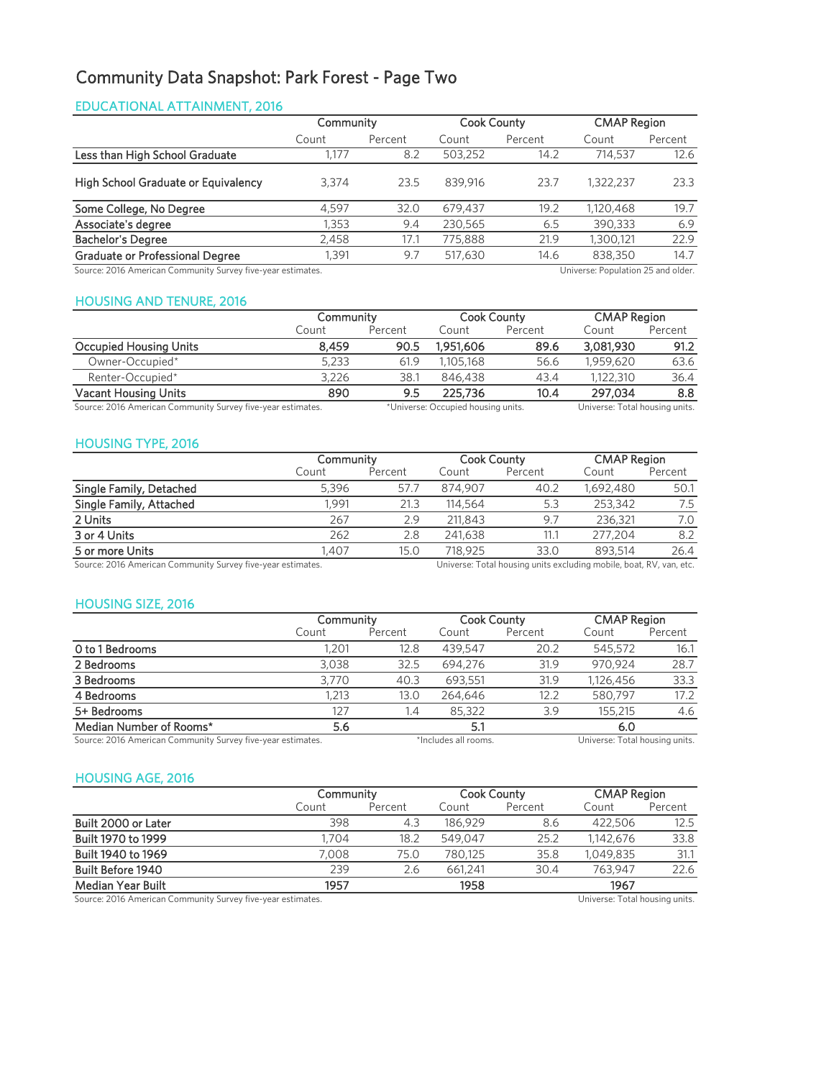# Community Data Snapshot: Park Forest - Page Two

### EDUCATIONAL ATTAINMENT, 2016

|                                                                                                   | Community |         | <b>Cook County</b> |         | <b>CMAP Region</b> |         |
|---------------------------------------------------------------------------------------------------|-----------|---------|--------------------|---------|--------------------|---------|
|                                                                                                   | Count     | Percent | Count              | Percent | Count              | Percent |
| Less than High School Graduate                                                                    | .177      | 8.2     | 503,252            | 14.2    | 714,537            | 12.6    |
| High School Graduate or Equivalency                                                               | 3.374     | 23.5    | 839.916            | 23.7    | 1,322,237          | 23.3    |
| Some College, No Degree                                                                           | 4.597     | 32.0    | 679,437            | 19.2    | 1,120,468          | 19.7    |
| Associate's degree                                                                                | 1,353     | 9.4     | 230.565            | 6.5     | 390,333            | 6.9     |
| <b>Bachelor's Degree</b>                                                                          | 2,458     | 17.1    | 775,888            | 21.9    | 1,300,121          | 22.9    |
| <b>Graduate or Professional Degree</b>                                                            | .391      | 9.7     | 517,630            | 14.6    | 838,350            | 14.7    |
| Source: 2016 American Community Survey five-year estimates.<br>Universe: Population 25 and older. |           |         |                    |         |                    |         |

### HOUSING AND TENURE, 2016

|                                                             | Community |         | <b>Cook County</b>                 |         | <b>CMAP Region</b>             |         |
|-------------------------------------------------------------|-----------|---------|------------------------------------|---------|--------------------------------|---------|
|                                                             | Count     | Percent | Count                              | Percent | Count                          | Percent |
| <b>Occupied Housing Units</b>                               | 8.459     | 90.5    | 1.951.606                          | 89.6    | 3,081,930                      | 91.2    |
| Owner-Occupied*                                             | 5.233     | 61.9    | 1.105.168                          | 56.6    | 1.959.620                      | 63.6    |
| Renter-Occupied*                                            | 3.226     | 38.1    | 846,438                            | 43.4    | 1.122.310                      | 36.4    |
| <b>Vacant Housing Units</b>                                 | 890       | 9.5     | 225,736                            | 10.4    | 297.034                        | 8.8     |
| Source: 2016 American Community Survey five-year estimates. |           |         | *Universe: Occupied housing units. |         | Universe: Total housing units. |         |

### HOUSING TYPE, 2016

| Community |         | <b>Cook County</b> |         | <b>CMAP Region</b> |         |
|-----------|---------|--------------------|---------|--------------------|---------|
| Count     | Percent | Count              | Percent | Count              | Percent |
| 5.396     | 57.7    | 874.907            | 40.2    | 1,692,480          | 50.1    |
| .991      | 21.3    | 114,564            | 5.3     | 253,342            | 7.5     |
| 267       | 2.9     | 211,843            | 9.7     | 236.321            | 7.0     |
| 262       | 2.8     | 241.638            | 11.1    | 277.204            | 8.2     |
| 1.407     | 15.0    | 718.925            | 33.0    | 893.514            | 26.4    |
|           |         |                    |         |                    |         |

Source: 2016 American Community Survey five-year estimates. Universe: Total housing units excluding mobile, boat, RV, van, etc.

### HOUSING SIZE, 2016

|                                                             |       | Community |                      | <b>Cook County</b> | <b>CMAP Region</b>             |         |
|-------------------------------------------------------------|-------|-----------|----------------------|--------------------|--------------------------------|---------|
|                                                             | Count | Percent   | Count                | Percent            | Count                          | Percent |
| O to 1 Bedrooms                                             | .201  | 12.8      | 439.547              | 20.2               | 545,572                        | 16.1    |
| 2 Bedrooms                                                  | 3.038 | 32.5      | 694.276              | 31.9               | 970.924                        | 28.7    |
| 3 Bedrooms                                                  | 3.770 | 40.3      | 693,551              | 31.9               | 1,126,456                      | 33.3    |
| 4 Bedrooms                                                  | 1.213 | 13.0      | 264.646              | 12.2               | 580,797                        | 17.2    |
| 5+ Bedrooms                                                 | 127   | 1.4       | 85,322               | 3.9                | 155,215                        | 4.6     |
| Median Number of Rooms*                                     | 5.6   |           | 5.1                  |                    | 6.0                            |         |
| Source: 2016 American Community Survey five-year estimates. |       |           | *Includes all rooms. |                    | Universe: Total housing units. |         |

### HOUSING AGE, 2016

|                                                              |       | Community |         | <b>Cook County</b>                          | <b>CMAP Region</b> |         |
|--------------------------------------------------------------|-------|-----------|---------|---------------------------------------------|--------------------|---------|
|                                                              | Count | Percent   | Count   | Percent                                     | Count              | Percent |
| Built 2000 or Later                                          | 398   | 4.3       | 186.929 | 8.6                                         | 422,506            | 12.5    |
| Built 1970 to 1999                                           | 1.704 | 18.2      | 549.047 | 25.2                                        | 1,142,676          | 33.8    |
| Built 1940 to 1969                                           | 7.008 | 75.0      | 780.125 | 35.8                                        | 1.049.835          | 31.1    |
| <b>Built Before 1940</b>                                     | 239   | 2.6       | 661.241 | 30.4                                        | 763.947            | 22.6    |
| Median Year Built                                            | 1957  |           | 1958    |                                             | 1967               |         |
| Causeau 2016, American Cammunity Current five year octimates |       |           |         | المغامين ممامينهما امغم Tatal بموسوبياتها ا |                    |         |

Source: 2016 American Community Survey five-year estimates. Universe: Total housing units.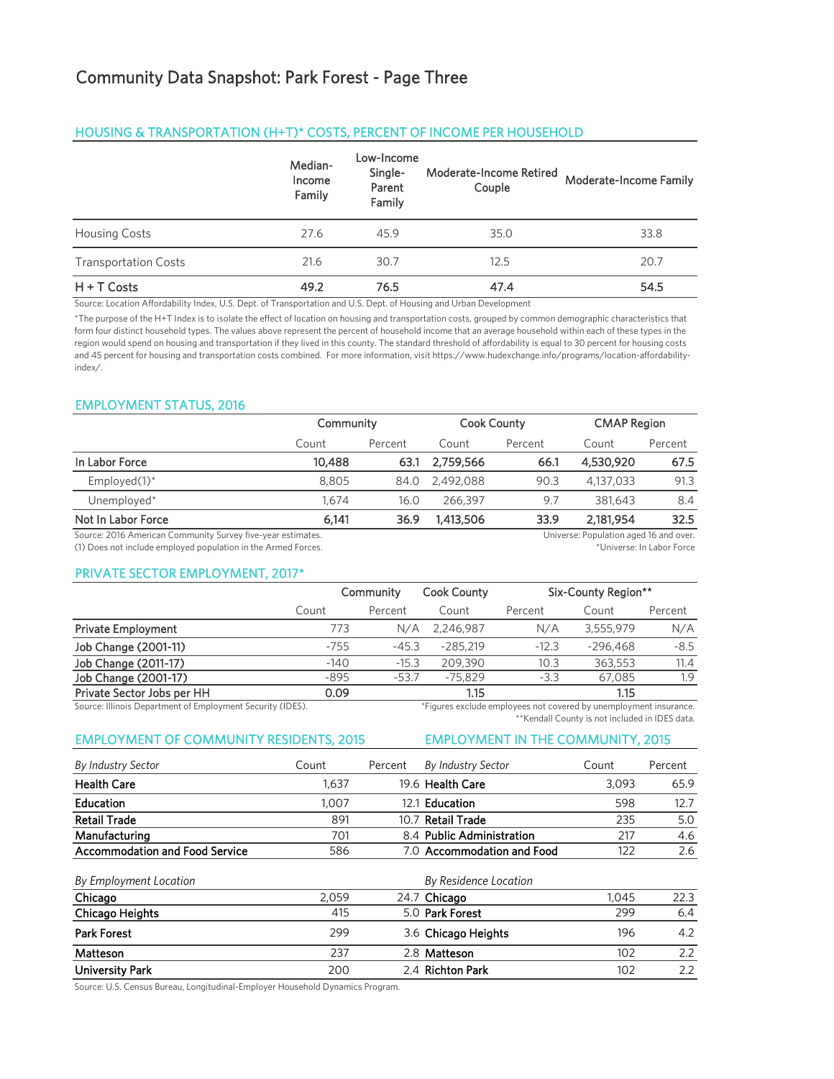#### HOUSING & TRANSPORTATION (H+T)\* COSTS, PERCENT OF INCOME PER HOUSEHOLD

|                             | Median-<br>Income<br>Family | Low-Income<br>Single-<br>Parent<br>Family | Moderate-Income Retired<br>Couple | Moderate-Income Family |
|-----------------------------|-----------------------------|-------------------------------------------|-----------------------------------|------------------------|
| <b>Housing Costs</b>        | 27.6                        | 45.9                                      | 35.0                              | 33.8                   |
| <b>Transportation Costs</b> | 21.6                        | 30.7                                      | 12.5                              | 20.7                   |
| $H + T$ Costs               | 49.2                        | 76.5                                      | 47.4                              | 54.5                   |

Source: Location Affordability Index, U.S. Dept. of Transportation and U.S. Dept. of Housing and Urban Development

\*The purpose of the H+T Index is to isolate the effect of location on housing and transportation costs, grouped by common demographic characteristics that form four distinct household types. The values above represent the percent of household income that an average household within each of these types in the region would spend on housing and transportation if they lived in this county. The standard threshold of affordability is equal to 30 percent for housing costs and 45 percent for housing and transportation costs combined. For more information, visit https://www.hudexchange.info/programs/location-affordabilityindex/.

### EMPLOYMENT STATUS, 2016

|                                                             |        | Community |           | <b>Cook County</b> | <b>CMAP Region</b>                     |         |
|-------------------------------------------------------------|--------|-----------|-----------|--------------------|----------------------------------------|---------|
|                                                             | Count  | Percent   | Count     | Percent            | Count                                  | Percent |
| In Labor Force                                              | 10,488 | 63.1      | 2,759,566 | 66.1               | 4,530,920                              | 67.5    |
| Employed $(1)^*$                                            | 8.805  | 84.0      | 2.492.088 | 90.3               | 4.137.033                              | 91.3    |
| Unemployed*                                                 | 1.674  | 16.0      | 266.397   | 9.7                | 381.643                                | 8.4     |
| Not In Labor Force                                          | 6.141  | 36.9      | 1,413,506 | 33.9               | 2.181.954                              | 32.5    |
| Source: 2016 American Community Survey five-year estimates. |        |           |           |                    | Universe: Population aged 16 and over. |         |

Source: 2016 American Community Survey five-year estimates. (1) Does not include employed population in the Armed Forces.

\*Universe: In Labor Force

#### PRIVATE SECTOR EMPLOYMENT, 2017\*

|                            |        | Community | Cook County |         | Six-County Region** |         |
|----------------------------|--------|-----------|-------------|---------|---------------------|---------|
|                            | Count  | Percent   | Count       | Percent | Count               | Percent |
| <b>Private Employment</b>  | 773    | N/A       | 2.246.987   | N/A     | 3,555,979           | N/A     |
| Job Change (2001-11)       | $-755$ | $-45.3$   | $-285.219$  | $-12.3$ | $-296.468$          | $-8.5$  |
| Job Change (2011-17)       | $-140$ | $-15.3$   | 209,390     | 10.3    | 363.553             | 11.4    |
| Job Change (2001-17)       | $-895$ | $-53.7$   | $-75.829$   | $-3.3$  | 67,085              | 1.9     |
| Private Sector Jobs per HH | 0.09   |           | 1.15        |         | 1.15                |         |
|                            |        |           |             |         |                     |         |

Source: Illinois Department of Employment Security (IDES).

\*Figures exclude employees not covered by unemployment insurance. \*\*Kendall County is not included in IDES data.

### EMPLOYMENT OF COMMUNITY RESIDENTS, 2015 EMPLOYMENT IN THE COMMUNITY, 2015

| By Industry Sector                    | Count           | Percent | By Industry Sector                                 | Count  | Percent       |
|---------------------------------------|-----------------|---------|----------------------------------------------------|--------|---------------|
| <b>Health Care</b>                    | 1.637           |         | 19.6 Health Care                                   | 3.093  | 65.9          |
| Education                             | 1.007           |         | 12.1 Education                                     | 598    | 12.7          |
| <b>Retail Trade</b>                   | 891             |         | 10.7 Retail Trade                                  | 235    | 5.0           |
| Manufacturing                         | 701             |         | 8.4 Public Administration                          | 217    | 4.6           |
| <b>Accommodation and Food Service</b> | 586             |         | 7.0 Accommodation and Food                         | 122    | 2.6           |
| By Employment Location                |                 |         | <b>By Residence Location</b>                       |        |               |
| Chicago                               | 2,059           |         | 24.7 Chicago                                       | 1.045  | 22.3          |
| C1.2.2.2.11.2.14.2                    | 41 <sup>2</sup> |         | $\Gamma$ $\cap$ $\Gamma$ and $\Gamma$ and $\Gamma$ | $\sim$ | $\sim$ $\sim$ |

| Chicago Heights    | 415 | 5.0 Park Forest     | 299 | 6.4 |
|--------------------|-----|---------------------|-----|-----|
| <b>Park Forest</b> | 299 | 3.6 Chicago Heights | 196 | 4.2 |
| Matteson           | 237 | 2.8 Matteson        | 102 |     |
| University Park    | 200 | 2.4 Richton Park    | 102 | 2.2 |

Source: U.S. Census Bureau, Longitudinal-Employer Household Dynamics Program.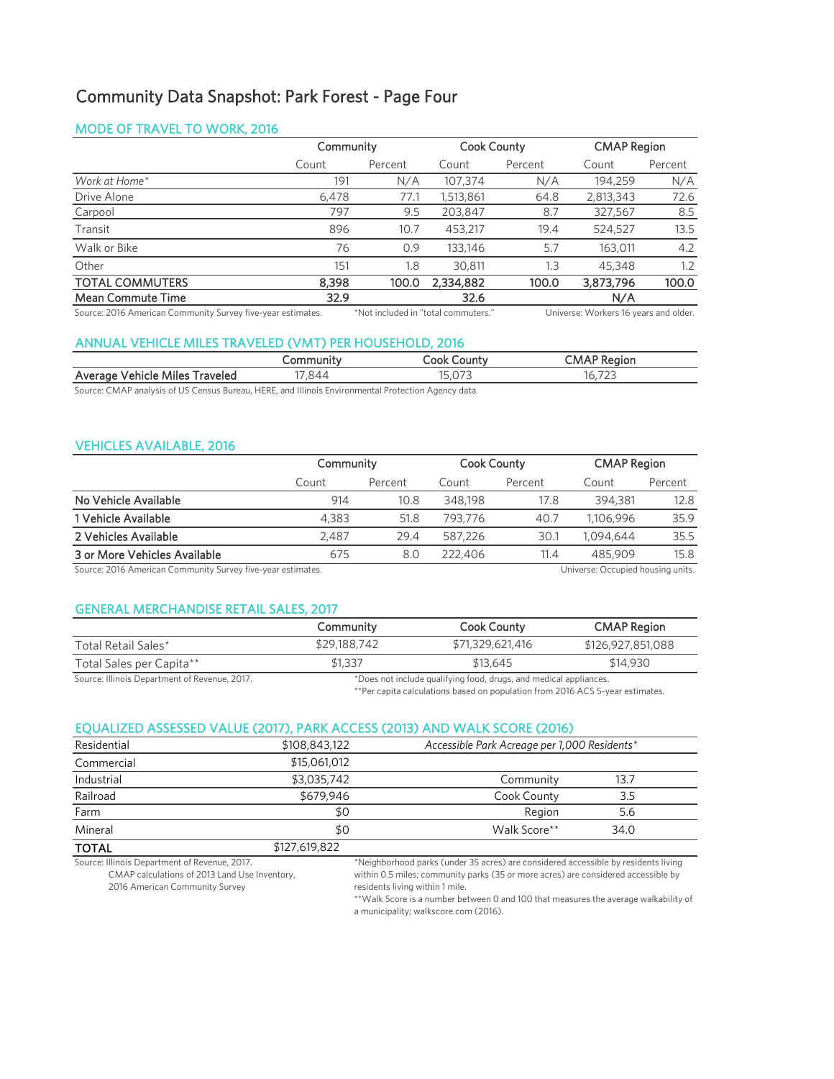# Community Data Snapshot: Park Forest - Page Four

### MODE OF TRAVEL TO WORK, 2016

|                          |       | Community |           | <b>Cook County</b> |           | <b>CMAP Region</b> |  |
|--------------------------|-------|-----------|-----------|--------------------|-----------|--------------------|--|
|                          | Count | Percent   | Count     | Percent            | Count     | Percent            |  |
| Work at Home*            | 191   | N/A       | 107.374   | N/A                | 194.259   | N/A                |  |
| Drive Alone              | 6,478 | 77.1      | 1,513,861 | 64.8               | 2,813,343 | 72.6               |  |
| Carpool                  | 797   | 9.5       | 203,847   | 8.7                | 327,567   | 8.5                |  |
| Transit                  | 896   | 10.7      | 453.217   | 19.4               | 524,527   | 13.5               |  |
| Walk or Bike             | 76    | 0.9       | 133,146   | 5.7                | 163.011   | 4.2                |  |
| Other                    | 151   | 1.8       | 30.811    | 1.3                | 45,348    | 1.2                |  |
| <b>TOTAL COMMUTERS</b>   | 8,398 | 100.0     | 2,334,882 | 100.0              | 3,873,796 | 100.0              |  |
| <b>Mean Commute Time</b> | 32.9  |           | 32.6      |                    | N/A       |                    |  |

Source: 2016 American Community Survey five-year estimates. \*Not included in "total commuters." Universe: Workers 16 years and older.

### ANNUAL VEHICLE MILES TRAVELED (VMT) PER HOUSEHOLD, 2016

|                                                   |       | .ount\<br>.ook | ∪M/                             |  |
|---------------------------------------------------|-------|----------------|---------------------------------|--|
| Vehicle<br>Averac<br>`raveled<br>Miles<br>. ANA 1 | ' 84. | $\sim$         | $\neg \neg$<br>$\sim$<br>$\sim$ |  |

Source: CMAP analysis of US Census Bureau, HERE, and Illinois Environmental Protection Agency data.

### VEHICLES AVAILABLE, 2016

| <b>CMAP Region</b> |           | <b>Cook County</b> |         | Community |       |                              |
|--------------------|-----------|--------------------|---------|-----------|-------|------------------------------|
| Percent            | Count     | Percent            | Count   | Percent   | Count |                              |
| 12.8               | 394.381   | 17.8               | 348,198 | 10.8      | 914   | No Vehicle Available         |
| 35.9               | 1,106,996 | 40.7               | 793.776 | 51.8      | 4.383 | 1 Vehicle Available          |
| 35.5               | 1.094.644 | 30.1               | 587.226 | 29.4      | 2.487 | 2 Vehicles Available         |
| 15.8               | 485,909   | 11.4               | 222,406 | 8.0       | 675   | 3 or More Vehicles Available |
|                    |           |                    |         |           |       |                              |

Source: 2016 American Community Survey five-year estimates. Universe: Occupied housing units.

### GENERAL MERCHANDISE RETAIL SALES, 2017

|                                               | Community                                                         | Cook County      | <b>CMAP Region</b> |  |
|-----------------------------------------------|-------------------------------------------------------------------|------------------|--------------------|--|
| Total Retail Sales*                           | \$29,188,742                                                      | \$71,329,621,416 | \$126,927,851,088  |  |
| Total Sales per Capita**                      | \$1,337                                                           | \$13,645         | \$14,930           |  |
| Source: Illinois Department of Revenue, 2017. | *Does not include qualifying food, drugs, and medical appliances. |                  |                    |  |

\*\*Per capita calculations based on population from 2016 ACS 5-year estimates.

### EQUALIZED ASSESSED VALUE (2017), PARK ACCESS (2013) AND WALK SCORE (2016)

| Residential  | \$108,843,122 | Accessible Park Acreage per 1,000 Residents* |      |  |
|--------------|---------------|----------------------------------------------|------|--|
| Commercial   | \$15,061,012  |                                              |      |  |
| Industrial   | \$3,035,742   | Community                                    | 13.7 |  |
| Railroad     | \$679,946     | Cook County                                  | 3.5  |  |
| Farm         | \$0           | Region                                       | 5.6  |  |
| Mineral      | \$0           | Walk Score**                                 | 34.0 |  |
| <b>TOTAL</b> | \$127,619,822 |                                              |      |  |

Source: Illinois Department of Revenue, 2017. CMAP calculations of 2013 Land Use Inventory, 2016 American Community Survey

\*Neighborhood parks (under 35 acres) are considered accessible by residents living within 0.5 miles; community parks (35 or more acres) are considered accessible by residents living within 1 mile.

\*\*Walk Score is a number between 0 and 100 that measures the average walkability of a municipality; walkscore.com (2016).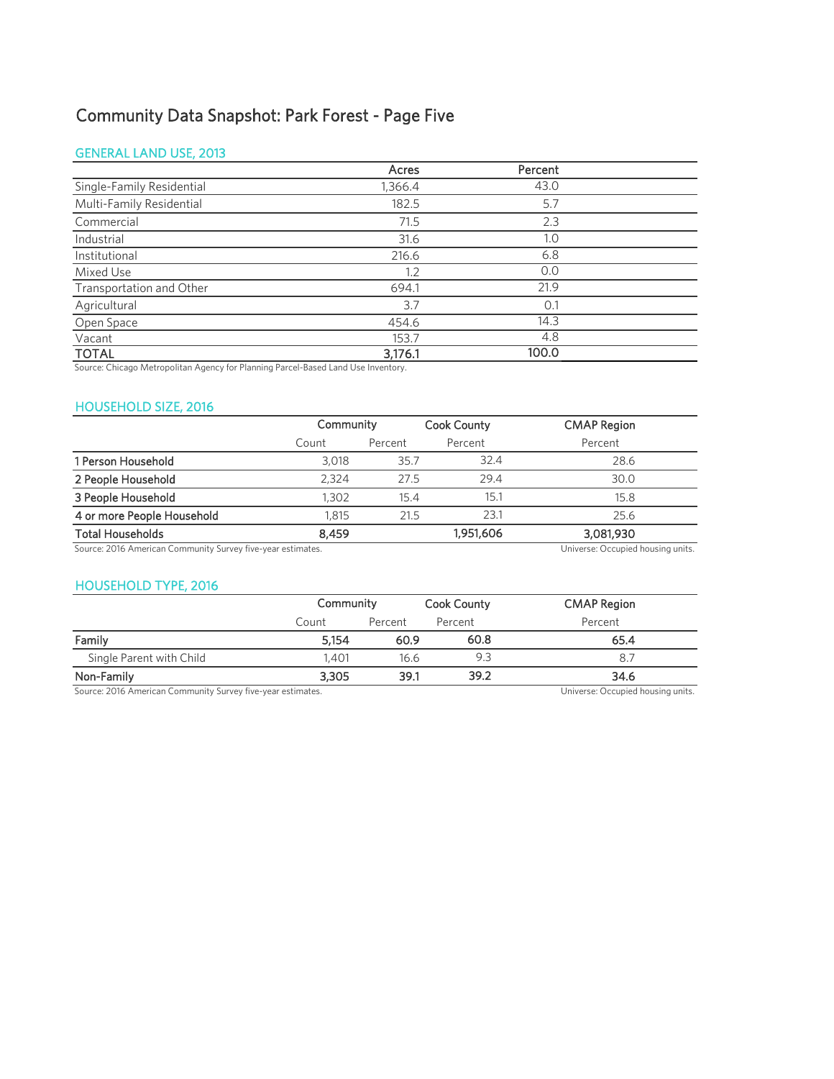# Community Data Snapshot: Park Forest - Page Five

### GENERAL LAND USE, 2013

|                           | Acres   | Percent |  |
|---------------------------|---------|---------|--|
| Single-Family Residential | 1,366.4 | 43.0    |  |
| Multi-Family Residential  | 182.5   | 5.7     |  |
| Commercial                | 71.5    | 2.3     |  |
| Industrial                | 31.6    | 1.0     |  |
| Institutional             | 216.6   | 6.8     |  |
| Mixed Use                 | 1.2     | 0.0     |  |
| Transportation and Other  | 694.1   | 21.9    |  |
| Agricultural              | 3.7     | 0.1     |  |
| Open Space                | 454.6   | 14.3    |  |
| Vacant                    | 153.7   | 4.8     |  |
| <b>TOTAL</b>              | 3,176.1 | 100.0   |  |

Source: Chicago Metropolitan Agency for Planning Parcel-Based Land Use Inventory.

### HOUSEHOLD SIZE, 2016

|                                                             | Community |         | <b>Cook County</b> | <b>CMAP Region</b>                |
|-------------------------------------------------------------|-----------|---------|--------------------|-----------------------------------|
|                                                             | Count     | Percent | Percent            | Percent                           |
| 1 Person Household                                          | 3.018     | 35.7    | 32.4               | 28.6                              |
| 2 People Household                                          | 2.324     | 27.5    | 29.4               | 30.0                              |
| 3 People Household                                          | 1,302     | 15.4    | 15.1               | 15.8                              |
| 4 or more People Household                                  | 1.815     | 21.5    | 23.1               | 25.6                              |
| <b>Total Households</b>                                     | 8.459     |         | 1,951,606          | 3,081,930                         |
| Source: 2016 American Community Survey five-year estimates. |           |         |                    | Universe: Occupied housing units. |

# HOUSEHOLD TYPE, 2016

|                          | Community |         | Cook County | <b>CMAP Region</b> |  |
|--------------------------|-----------|---------|-------------|--------------------|--|
|                          | Count     | Percent | Percent     | Percent            |  |
| Family                   | 5.154     | 60.9    | 60.8        | 65.4               |  |
| Single Parent with Child | 1.401     | 16.6    | 9.3         | -8.7               |  |
| Non-Family               | 3,305     | 39.1    | 39.2        | 34.6               |  |

Source: 2016 American Community Survey five-year estimates. Universe: Occupied housing units.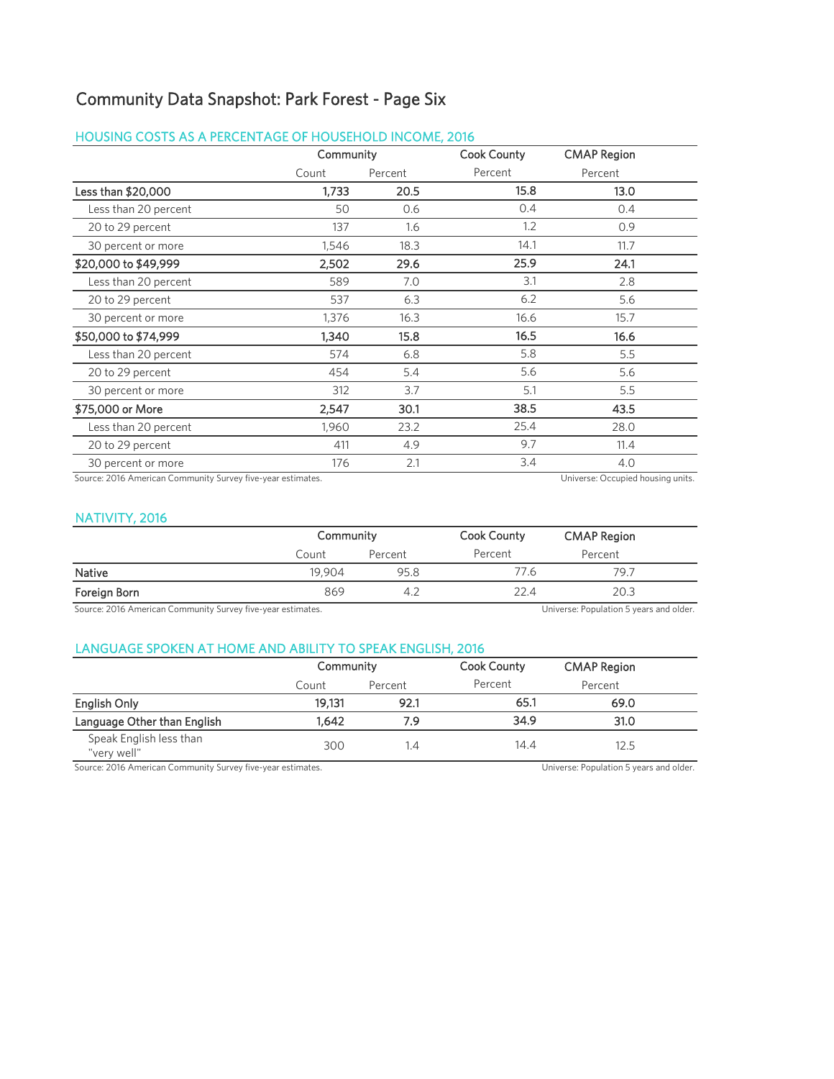## Community Data Snapshot: Park Forest - Page Six

### HOUSING COSTS AS A PERCENTAGE OF HOUSEHOLD INCOME, 2016

|                                                             | Community |         | <b>Cook County</b> | <b>CMAP Region</b>                |
|-------------------------------------------------------------|-----------|---------|--------------------|-----------------------------------|
|                                                             | Count     | Percent | Percent            | Percent                           |
| Less than \$20,000                                          | 1,733     | 20.5    | 15.8               | 13.0                              |
| Less than 20 percent                                        | 50        | 0.6     | 0.4                | 0.4                               |
| 20 to 29 percent                                            | 137       | 1.6     | 1.2                | 0.9                               |
| 30 percent or more                                          | 1,546     | 18.3    | 14.1               | 11.7                              |
| \$20,000 to \$49,999                                        | 2,502     | 29.6    | 25.9               | 24.1                              |
| Less than 20 percent                                        | 589       | 7.0     | 3.1                | 2.8                               |
| 20 to 29 percent                                            | 537       | 6.3     | 6.2                | 5.6                               |
| 30 percent or more                                          | 1,376     | 16.3    | 16.6               | 15.7                              |
| \$50,000 to \$74,999                                        | 1,340     | 15.8    | 16.5               | 16.6                              |
| Less than 20 percent                                        | 574       | 6.8     | 5.8                | 5.5                               |
| 20 to 29 percent                                            | 454       | 5.4     | 5.6                | 5.6                               |
| 30 percent or more                                          | 312       | 3.7     | 5.1                | 5.5                               |
| \$75,000 or More                                            | 2,547     | 30.1    | 38.5               | 43.5                              |
| Less than 20 percent                                        | 1,960     | 23.2    | 25.4               | 28.0                              |
| 20 to 29 percent                                            | 411       | 4.9     | 9.7                | 11.4                              |
| 30 percent or more                                          | 176       | 2.1     | 3.4                | 4.0                               |
| Source: 2016 American Community Survey five-year estimates. |           |         |                    | Universe: Occupied housing units. |

### NATIVITY, 2016

|                                                             |        | Community |         | <b>CMAP Region</b>                      |  |
|-------------------------------------------------------------|--------|-----------|---------|-----------------------------------------|--|
|                                                             | Count  | Percent   | Percent | Percent                                 |  |
| Native                                                      | 19.904 | 95.8      | 77.6    | 79.7                                    |  |
| Foreign Born                                                | 869    | 4.2       | 22.4    | 20.3                                    |  |
| Source: 2016 American Community Survey five-year estimates. |        |           |         | Universe: Population 5 years and older. |  |

### LANGUAGE SPOKEN AT HOME AND ABILITY TO SPEAK ENGLISH, 2016

|                                        | Community |         | <b>Cook County</b> | <b>CMAP Region</b> |  |
|----------------------------------------|-----------|---------|--------------------|--------------------|--|
|                                        | Count     | Percent | Percent            | Percent            |  |
| English Only                           | 19.131    | 92.1    | 65.1               | 69.0               |  |
| Language Other than English            | 1.642     | 7.9     | 34.9               | 31.0               |  |
| Speak English less than<br>"very well" | 300       | 1.4     | 14.4               | 12.5               |  |

Source: 2016 American Community Survey five-year estimates. 
Universe: Population 5 years and older.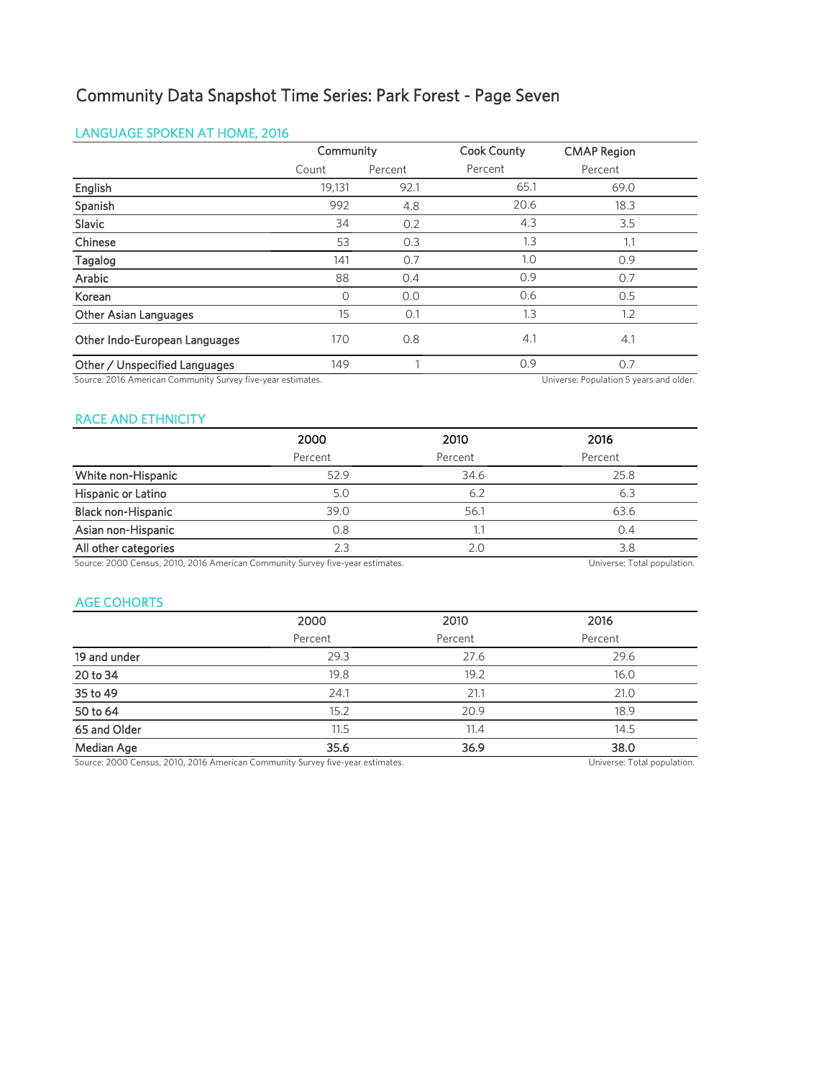# Community Data Snapshot Time Series: Park Forest - Page Seven

### LANGUAGE SPOKEN AT HOME, 2016

|                               | Community |         | <b>Cook County</b> | <b>CMAP Region</b> |
|-------------------------------|-----------|---------|--------------------|--------------------|
|                               | Count     | Percent | Percent            | Percent            |
| English                       | 19,131    | 92.1    | 65.1               | 69.0               |
| Spanish                       | 992       | 4.8     | 20.6               | 18.3               |
| Slavic                        | 34        | 0.2     | 4.3                | 3.5                |
| Chinese                       | 53        | 0.3     | 1.3                | 1.1                |
| Tagalog                       | 141       | 0.7     | 1.0                | 0.9                |
| Arabic                        | 88        | 0.4     | 0.9                | 0.7                |
| Korean                        | 0         | 0.0     | 0.6                | 0.5                |
| Other Asian Languages         | 15        | 0.1     | 1.3                | 1.2                |
| Other Indo-European Languages | 170       | 0.8     | 4.1                | 4.1                |
| Other / Unspecified Languages | 149       |         | 0.9                | 0.7                |

Source: 2016 American Community Survey five-year estimates. 
Universe: Population 5 years and older.

### RACE AND ETHNICITY

|                           | 2000    | 2010    | 2016    |
|---------------------------|---------|---------|---------|
|                           | Percent | Percent | Percent |
| White non-Hispanic        | 52.9    | 34.6    | 25.8    |
| Hispanic or Latino        | 5.0     | 6.2     | 6.3     |
| <b>Black non-Hispanic</b> | 39.0    | 56.1    | 63.6    |
| Asian non-Hispanic        | 0.8     |         | 0.4     |
| All other categories      | 2.3     | 2.0     | 3.8     |
|                           |         |         |         |

Source: 2000 Census, 2010, 2016 American Community Survey five-year estimates. Universe: Total population.

### AGE COHORTS

|              | 2000    | 2010    | 2016    |
|--------------|---------|---------|---------|
|              | Percent | Percent | Percent |
| 19 and under | 29.3    | 27.6    | 29.6    |
| 20 to 34     | 19.8    | 19.2    | 16.0    |
| 35 to 49     | 24.1    | 21.1    | 21.0    |
| 50 to 64     | 15.2    | 20.9    | 18.9    |
| 65 and Older | 11.5    | 11.4    | 14.5    |
| Median Age   | 35.6    | 36.9    | 38.0    |
|              |         |         |         |

Source: 2000 Census, 2010, 2016 American Community Survey five-year estimates. Universe: Total population.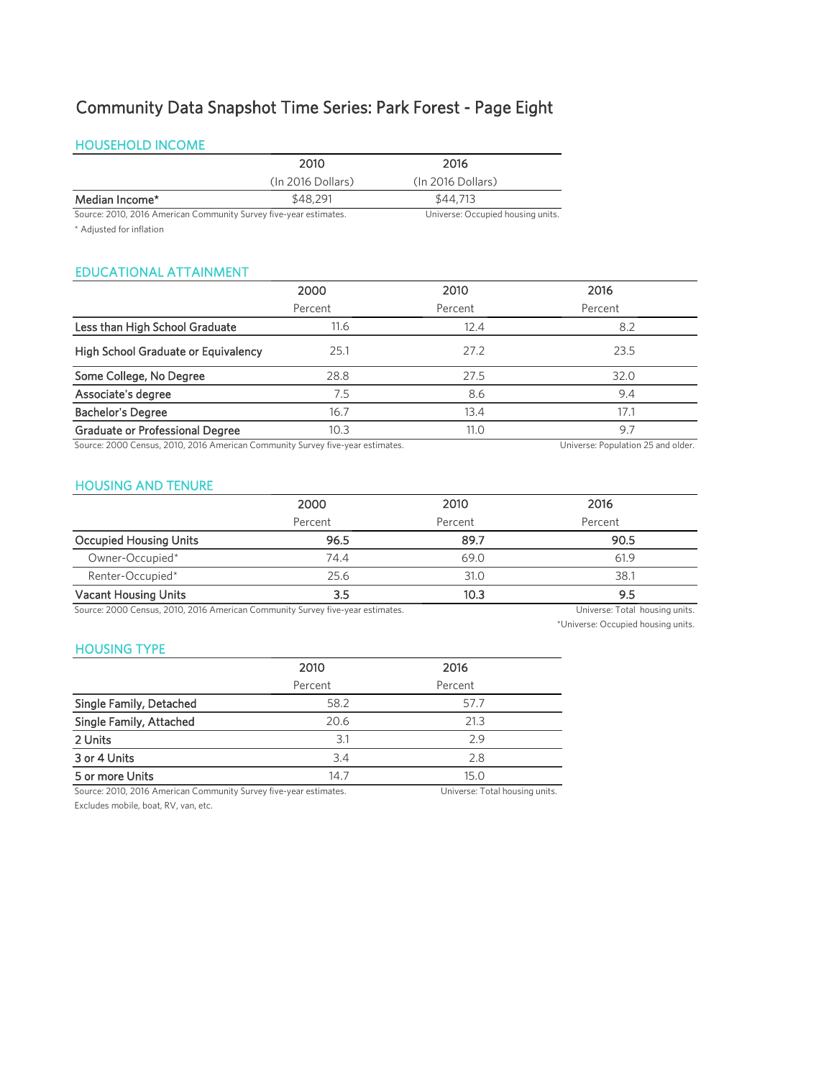# Community Data Snapshot Time Series: Park Forest - Page Eight

### HOUSEHOLD INCOME

|                                                                   | 2010              | 2016                              |
|-------------------------------------------------------------------|-------------------|-----------------------------------|
|                                                                   | (In 2016 Dollars) | (In 2016 Dollars)                 |
| Median Income*                                                    | \$48,291          | \$44,713                          |
| Source: 2010, 2016 American Community Survey five-year estimates. |                   | Universe: Occupied housing units. |

\* Adjusted for inflation

### EDUCATIONAL ATTAINMENT

|                                        | 2000    | 2010    | 2016    |
|----------------------------------------|---------|---------|---------|
|                                        | Percent | Percent | Percent |
| Less than High School Graduate         | 11.6    | 12.4    | 8.2     |
| High School Graduate or Equivalency    | 25.1    | 27.2    | 23.5    |
| Some College, No Degree                | 28.8    | 27.5    | 32.0    |
| Associate's degree                     | 7.5     | 8.6     | 9.4     |
| <b>Bachelor's Degree</b>               | 16.7    | 13.4    | 17.1    |
| <b>Graduate or Professional Degree</b> | 10.3    | 11.0    | 9.7     |
| -----                                  |         |         |         |

Source: 2000 Census, 2010, 2016 American Community Survey five-year estimates. Universe: Population 25 and older.

### HOUSING AND TENURE

|                               | 2000    | 2010    | 2016    |
|-------------------------------|---------|---------|---------|
|                               | Percent | Percent | Percent |
| <b>Occupied Housing Units</b> | 96.5    | 89.7    | 90.5    |
| Owner-Occupied*               | 74.4    | 69.0    | 61.9    |
| Renter-Occupied*              | 25.6    | 31.0    | 38.1    |
| <b>Vacant Housing Units</b>   | 3.5     | 10.3    | 9.5     |

Source: 2000 Census, 2010, 2016 American Community Survey five-year estimates. Universe: Total housing units.

\*Universe: Occupied housing units.

### HOUSING TYPE

|                         | 2010    | 2016            |  |
|-------------------------|---------|-----------------|--|
|                         | Percent | Percent         |  |
| Single Family, Detached | 58.2    | 57.7            |  |
| Single Family, Attached | 20.6    | 21.3            |  |
| 2 Units                 | 3.1     | 2.9             |  |
| 3 or 4 Units            | 3.4     | 2.8             |  |
| 5 or more Units         | 14.7    | 15 <sub>0</sub> |  |

Source: 2010, 2016 American Community Survey five-year estimates. Universe: Total housing units.

Excludes mobile, boat, RV, van, etc.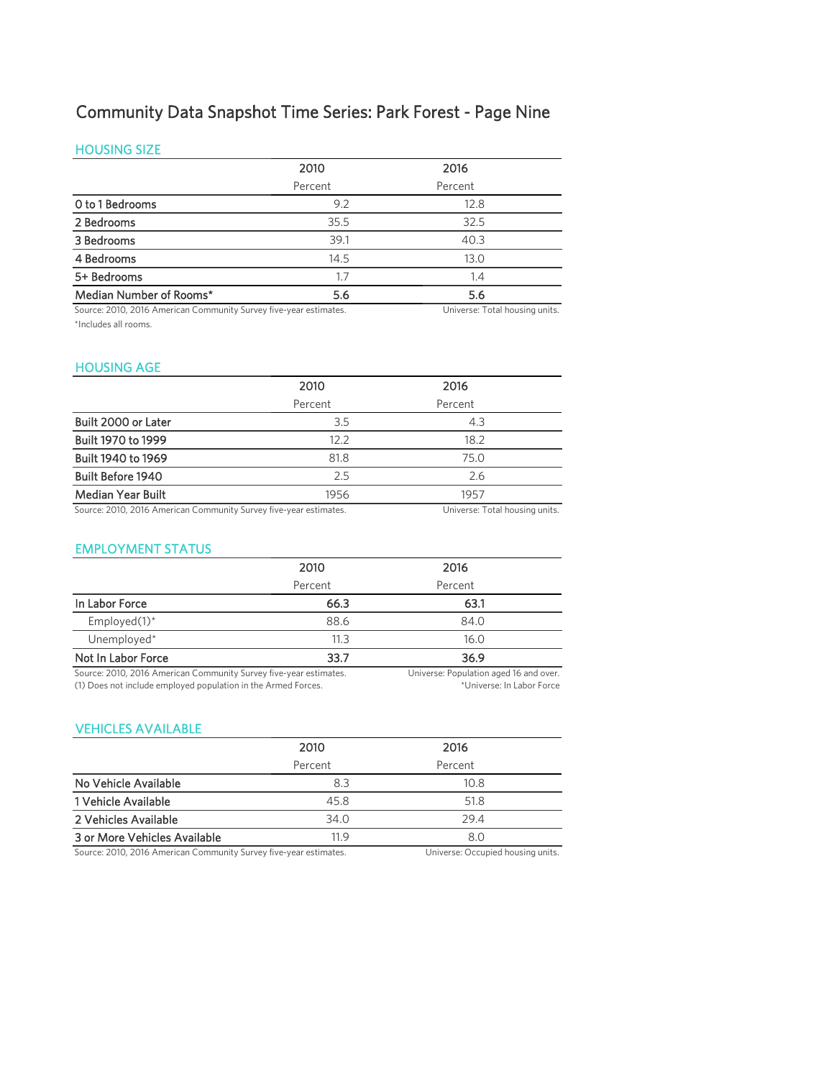# Community Data Snapshot Time Series: Park Forest - Page Nine

### HOUSING SIZE

|                         | 2010    | 2016    |  |
|-------------------------|---------|---------|--|
|                         | Percent | Percent |  |
| O to 1 Bedrooms         | 9.2     | 12.8    |  |
| 2 Bedrooms              | 35.5    | 32.5    |  |
| 3 Bedrooms              | 39.1    | 40.3    |  |
| 4 Bedrooms              | 14.5    | 13.0    |  |
| 5+ Bedrooms             | 1.7     | 1.4     |  |
| Median Number of Rooms* | 5.6     | 5.6     |  |

Source: 2010, 2016 American Community Survey five-year estimates. Universe: Total housing units. \*Includes all rooms.

### HOUSING AGE

|                                                                   | 2010    | 2016                           |
|-------------------------------------------------------------------|---------|--------------------------------|
|                                                                   | Percent | Percent                        |
| Built 2000 or Later                                               | 3.5     | 4.3                            |
| Built 1970 to 1999                                                | 12.2    | 18.2                           |
| Built 1940 to 1969                                                | 81.8    | 75.O                           |
| <b>Built Before 1940</b>                                          | 2.5     | 2.6                            |
| <b>Median Year Built</b>                                          | 1956    | 1957                           |
| Source: 2010, 2016 American Community Survey five-year estimates. |         | Universe: Total housing units. |

### EMPLOYMENT STATUS

|                                                                   | 2010    | 2016                                   |
|-------------------------------------------------------------------|---------|----------------------------------------|
|                                                                   | Percent | Percent                                |
| In Labor Force                                                    | 66.3    | 63.1                                   |
| Employed $(1)^*$                                                  | 88.6    | 84.0                                   |
| Unemployed*                                                       | 11.3    | 16.0                                   |
| Not In Labor Force                                                | 33.7    | 36.9                                   |
| Source: 2010, 2016 American Community Survey five-year estimates. |         | Universe: Population aged 16 and over. |

(1) Does not include employed population in the Armed Forces.

\*Universe: In Labor Force

### VEHICLES AVAILABLE

|                                                                   | 2010    | 2016                              |
|-------------------------------------------------------------------|---------|-----------------------------------|
|                                                                   | Percent | Percent                           |
| No Vehicle Available                                              | 8.3     | 10.8                              |
| 1 Vehicle Available                                               | 45.8    | 51.8                              |
| 2 Vehicles Available                                              | 34.0    | 29.4                              |
| 3 or More Vehicles Available                                      | 11.9    | 8.0                               |
| Source: 2010, 2016 American Community Survey five-year estimates. |         | Universe: Occupied housing units. |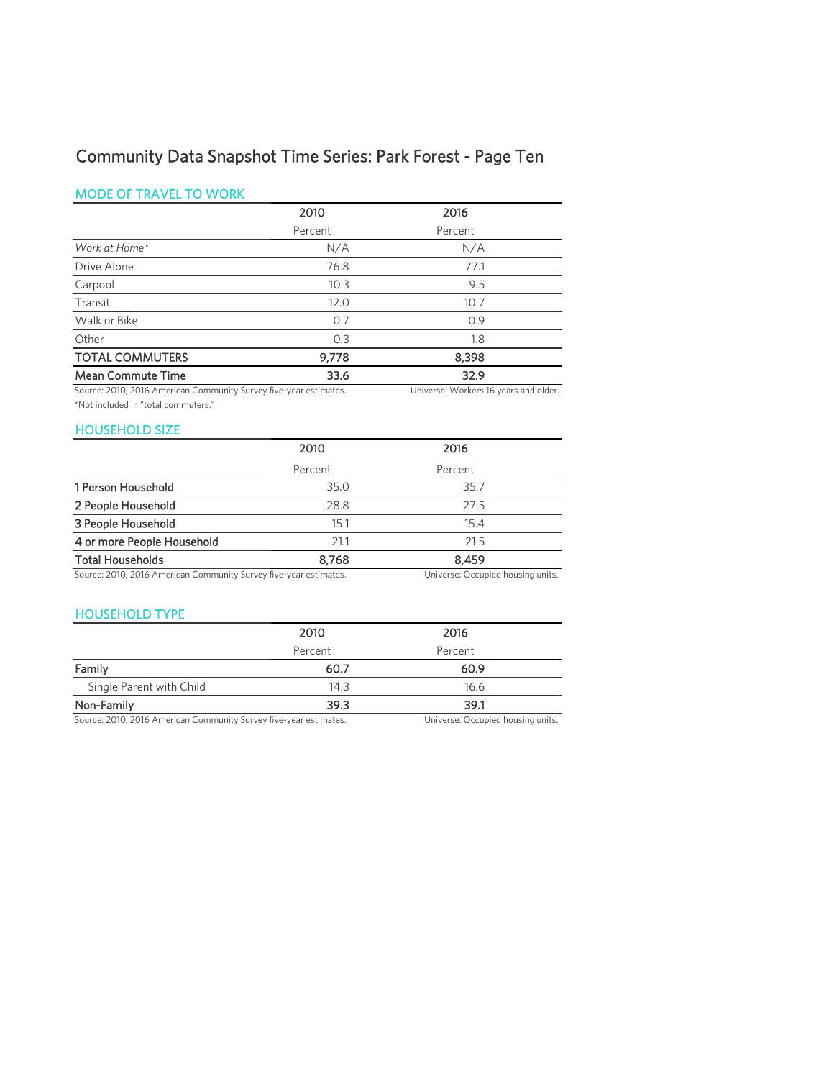# Community Data Snapshot Time Series: Park Forest - Page Ten

### MODE OF TRAVEL TO WORK

|                          | 2010    | 2016    |  |
|--------------------------|---------|---------|--|
|                          | Percent | Percent |  |
| Work at Home*            | N/A     | N/A     |  |
| Drive Alone              | 76.8    | 77.1    |  |
| Carpool                  | 10.3    | 9.5     |  |
| Transit                  | 12.0    | 10.7    |  |
| Walk or Bike             | 0.7     | 0.9     |  |
| Other                    | 0.3     | 1.8     |  |
| <b>TOTAL COMMUTERS</b>   | 9,778   | 8,398   |  |
| <b>Mean Commute Time</b> | 33.6    | 32.9    |  |

Source: 2010, 2016 American Community Survey five-year estimates. Universe: Workers 16 years and older. \*Not included in "total commuters."

### HOUSEHOLD SIZE

| .                          |         |         |  |
|----------------------------|---------|---------|--|
|                            | 2010    | 2016    |  |
|                            | Percent | Percent |  |
| 1 Person Household         | 35.0    | 35.7    |  |
| 2 People Household         | 28.8    | 27.5    |  |
| 3 People Household         | 15.1    | 15.4    |  |
| 4 or more People Household | 21.1    | 21.5    |  |
| <b>Total Households</b>    | 8.768   | 8.459   |  |

Source: 2010, 2016 American Community Survey five-year estimates. Universe: Occupied housing units.

### HOUSEHOLD TYPE

|                          | 2010    | 2016    |  |
|--------------------------|---------|---------|--|
|                          | Percent | Percent |  |
| Family                   | 60.7    | 60.9    |  |
| Single Parent with Child | 14.3    | 16.6    |  |
| Non-Family               | 39.3    | 39.1    |  |

Source: 2010, 2016 American Community Survey five-year estimates. Universe: Occupied housing units.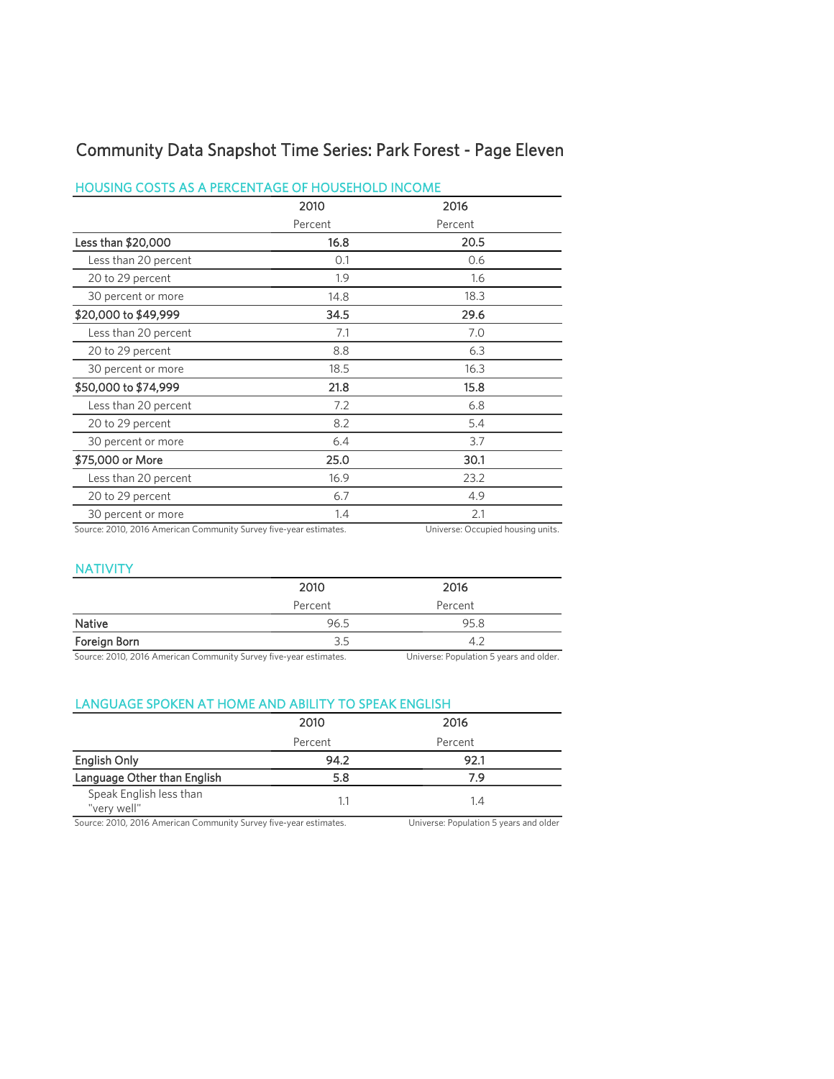# Community Data Snapshot Time Series: Park Forest - Page Eleven

### HOUSING COSTS AS A PERCENTAGE OF HOUSEHOLD INCOME

|                      | 2010<br>Percent | 2016    |
|----------------------|-----------------|---------|
|                      |                 | Percent |
| Less than \$20,000   | 16.8            | 20.5    |
| Less than 20 percent | 0.1             | 0.6     |
| 20 to 29 percent     | 1.9             | 1.6     |
| 30 percent or more   | 14.8            | 18.3    |
| \$20,000 to \$49,999 | 34.5            | 29.6    |
| Less than 20 percent | 7.1             | 7.0     |
| 20 to 29 percent     | 8.8             | 6.3     |
| 30 percent or more   | 18.5            | 16.3    |
| \$50,000 to \$74,999 | 21.8            | 15.8    |
| Less than 20 percent | 7.2             | 6.8     |
| 20 to 29 percent     | 8.2             | 5.4     |
| 30 percent or more   | 6.4             | 3.7     |
| \$75,000 or More     | 25.0            | 30.1    |
| Less than 20 percent | 16.9            | 23.2    |
| 20 to 29 percent     | 6.7             | 4.9     |
| 30 percent or more   | 1.4             | 2.1     |

Source: 2010, 2016 American Community Survey five-year estimates. Universe: Occupied housing units.

### NATIVITY

|                                                                   | 2010    | 2016                                    |
|-------------------------------------------------------------------|---------|-----------------------------------------|
|                                                                   | Percent | Percent                                 |
| <b>Native</b>                                                     | 96.5    | 95.8                                    |
| Foreign Born                                                      | 3.5     | 4.2                                     |
| Source: 2010, 2016 American Community Survey five-year estimates. |         | Universe: Population 5 years and older. |

### LANGUAGE SPOKEN AT HOME AND ABILITY TO SPEAK ENGLISH

|                                        | 2010    | 2016    |  |
|----------------------------------------|---------|---------|--|
|                                        | Percent | Percent |  |
| English Only                           | 94.2    | 92.1    |  |
| Language Other than English            | 5.8     | 7.9     |  |
| Speak English less than<br>"very well" | 1.1     | 1.4     |  |

Source: 2010, 2016 American Community Survey five-year estimates. Universe: Population 5 years and older